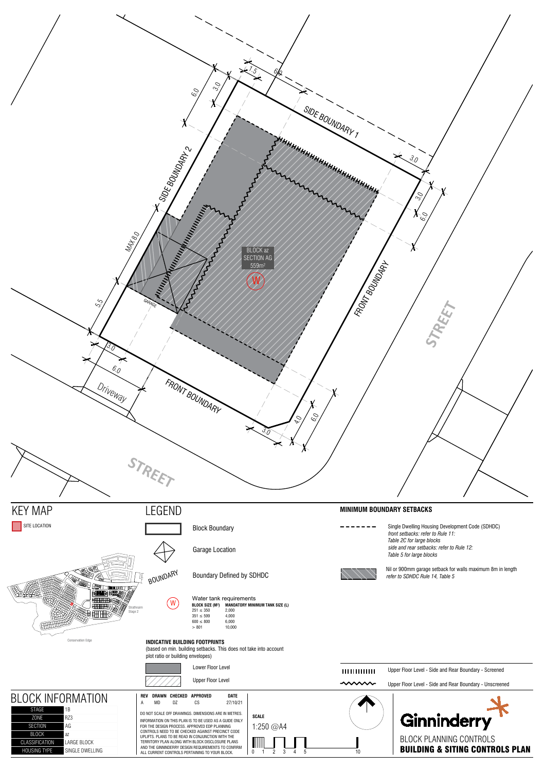